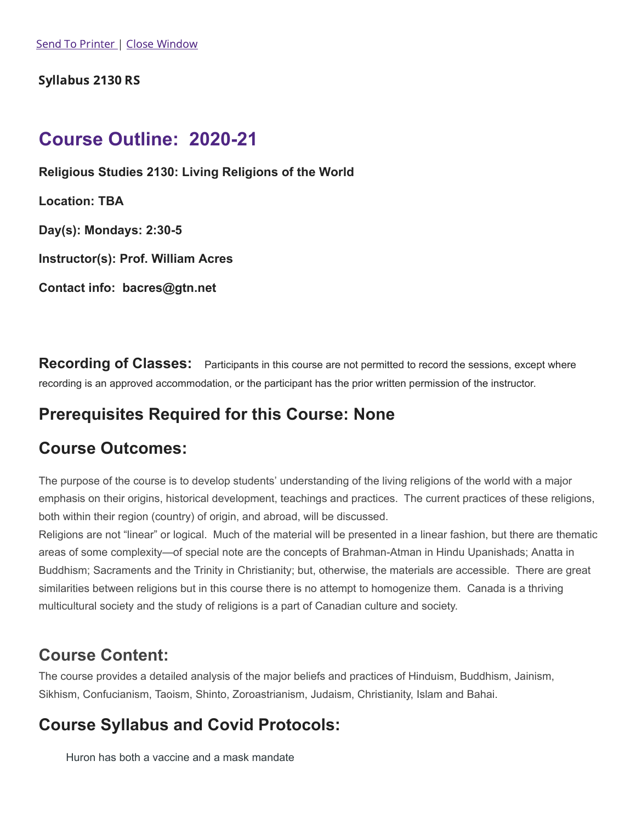### Syllabus 2130 RS

# **Course Outline: 2020-21**

**Religious Studies 2130: Living Religions of the World**

**Location: TBA**

**Day(s): Mondays: 2:30-5**

**Instructor(s): Prof. William Acres**

**Contact info: bacres@gtn.net**

**Recording of Classes:** Participants in this course are not permitted to record the sessions, except where recording is an approved accommodation, or the participant has the prior written permission of the instructor.

## **Prerequisites Required for this Course: None**

## **Course Outcomes:**

The purpose of the course is to develop students' understanding of the living religions of the world with a major emphasis on their origins, historical development, teachings and practices. The current practices of these religions, both within their region (country) of origin, and abroad, will be discussed.

Religions are not "linear" or logical. Much of the material will be presented in a linear fashion, but there are thematic areas of some complexity—of special note are the concepts of Brahman-Atman in Hindu Upanishads; Anatta in Buddhism; Sacraments and the Trinity in Christianity; but, otherwise, the materials are accessible. There are great similarities between religions but in this course there is no attempt to homogenize them. Canada is a thriving multicultural society and the study of religions is a part of Canadian culture and society.

## **Course Content:**

The course provides a detailed analysis of the major beliefs and practices of Hinduism, Buddhism, Jainism, Sikhism, Confucianism, Taoism, Shinto, Zoroastrianism, Judaism, Christianity, Islam and Bahai.

# **Course Syllabus and Covid Protocols:**

Huron has both a vaccine and a mask mandate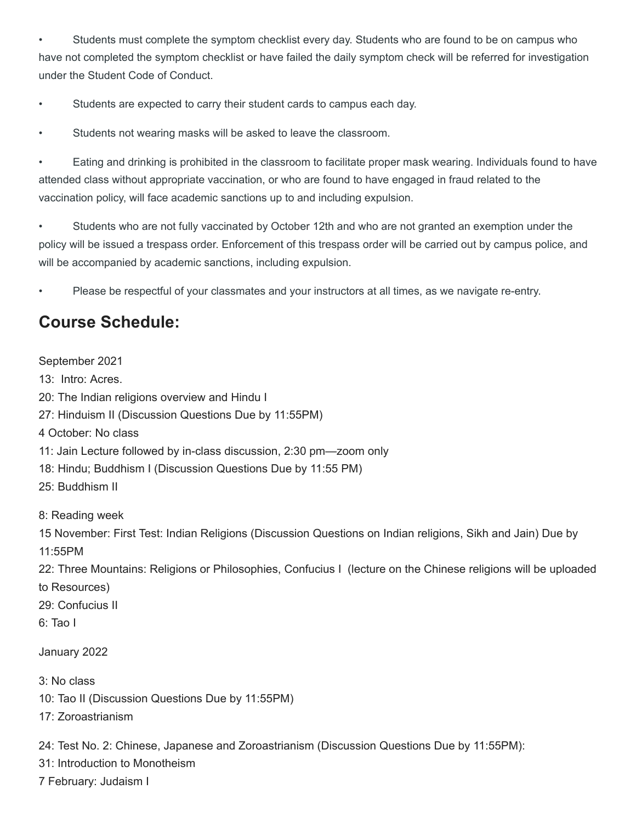• Students must complete the symptom checklist every day. Students who are found to be on campus who have not completed the symptom checklist or have failed the daily symptom check will be referred for investigation under the Student Code of Conduct.

• Students are expected to carry their student cards to campus each day.

• Students not wearing masks will be asked to leave the classroom.

• Eating and drinking is prohibited in the classroom to facilitate proper mask wearing. Individuals found to have attended class without appropriate vaccination, or who are found to have engaged in fraud related to the vaccination policy, will face academic sanctions up to and including expulsion.

• Students who are not fully vaccinated by October 12th and who are not granted an exemption under the policy will be issued a trespass order. Enforcement of this trespass order will be carried out by campus police, and will be accompanied by academic sanctions, including expulsion.

• Please be respectful of your classmates and your instructors at all times, as we navigate re-entry.

# **Course Schedule:**

September 2021 13: Intro: Acres. 20: The Indian religions overview and Hindu I 27: Hinduism II (Discussion Questions Due by 11:55PM) 4 October: No class 11: Jain Lecture followed by in-class discussion, 2:30 pm—zoom only 18: Hindu; Buddhism I (Discussion Questions Due by 11:55 PM) 25: Buddhism II 8: Reading week 15 November: First Test: Indian Religions (Discussion Questions on Indian religions, Sikh and Jain) Due by 11:55PM

22: Three Mountains: Religions or Philosophies, Confucius I (lecture on the Chinese religions will be uploaded to Resources)

- 29: Confucius II
- 6: Tao I

January 2022

- 3: No class
- 10: Tao II (Discussion Questions Due by 11:55PM)
- 17: Zoroastrianism

24: Test No. 2: Chinese, Japanese and Zoroastrianism (Discussion Questions Due by 11:55PM):

31: Introduction to Monotheism

7 February: Judaism I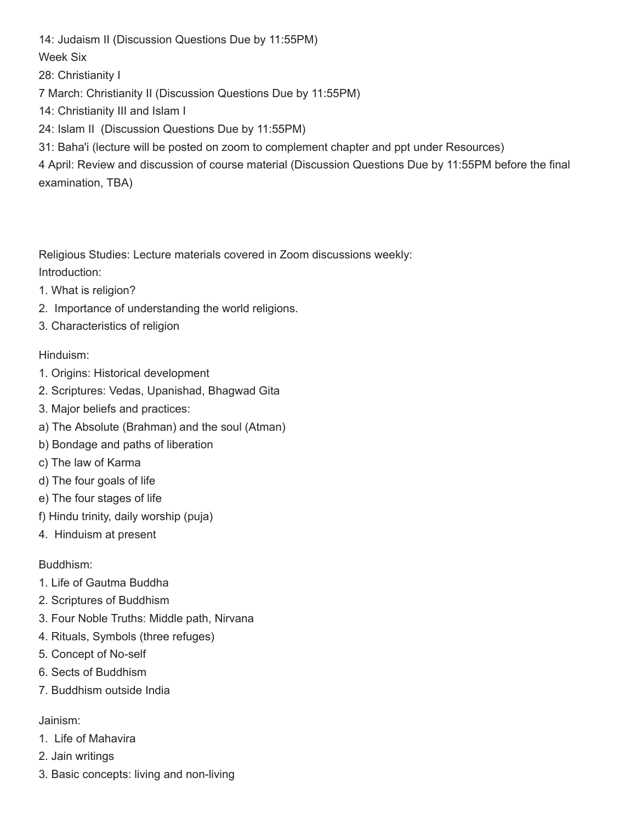14: Judaism II (Discussion Questions Due by 11:55PM)

Week Six

28: Christianity I

7 March: Christianity II (Discussion Questions Due by 11:55PM)

14: Christianity III and Islam I

24: Islam II (Discussion Questions Due by 11:55PM)

31: Baha'i (lecture will be posted on zoom to complement chapter and ppt under Resources)

4 April: Review and discussion of course material (Discussion Questions Due by 11:55PM before the final examination, TBA)

Religious Studies: Lecture materials covered in Zoom discussions weekly: Introduction:

- 1. What is religion?
- 2. Importance of understanding the world religions.
- 3. Characteristics of religion

#### Hinduism:

- 1. Origins: Historical development
- 2. Scriptures: Vedas, Upanishad, Bhagwad Gita
- 3. Major beliefs and practices:
- a) The Absolute (Brahman) and the soul (Atman)
- b) Bondage and paths of liberation
- c) The law of Karma
- d) The four goals of life
- e) The four stages of life
- f) Hindu trinity, daily worship (puja)
- 4. Hinduism at present

### Buddhism:

- 1. Life of Gautma Buddha
- 2. Scriptures of Buddhism
- 3. Four Noble Truths: Middle path, Nirvana
- 4. Rituals, Symbols (three refuges)
- 5. Concept of No-self
- 6. Sects of Buddhism
- 7. Buddhism outside India

#### Jainism:

- 1. Life of Mahavira
- 2. Jain writings
- 3. Basic concepts: living and non-living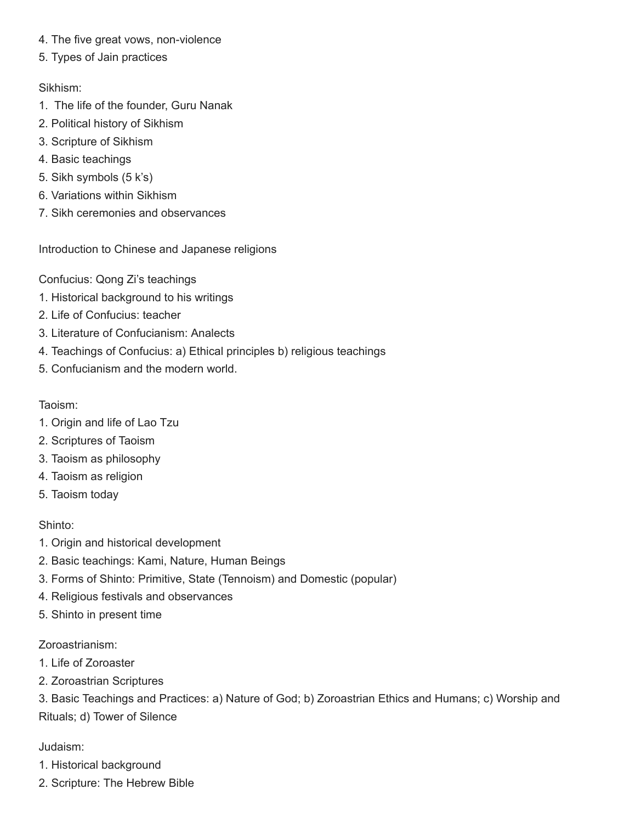- 4. The five great vows, non-violence
- 5. Types of Jain practices

Sikhism:

- 1. The life of the founder, Guru Nanak
- 2. Political history of Sikhism
- 3. Scripture of Sikhism
- 4. Basic teachings
- 5. Sikh symbols (5 k's)
- 6. Variations within Sikhism
- 7. Sikh ceremonies and observances

Introduction to Chinese and Japanese religions

Confucius: Qong Zi's teachings

- 1. Historical background to his writings
- 2. Life of Confucius: teacher
- 3. Literature of Confucianism: Analects
- 4. Teachings of Confucius: a) Ethical principles b) religious teachings
- 5. Confucianism and the modern world.

#### Taoism:

- 1. Origin and life of Lao Tzu
- 2. Scriptures of Taoism
- 3. Taoism as philosophy
- 4. Taoism as religion
- 5. Taoism today

### Shinto:

- 1. Origin and historical development
- 2. Basic teachings: Kami, Nature, Human Beings
- 3. Forms of Shinto: Primitive, State (Tennoism) and Domestic (popular)
- 4. Religious festivals and observances
- 5. Shinto in present time

### Zoroastrianism:

- 1. Life of Zoroaster
- 2. Zoroastrian Scriptures

3. Basic Teachings and Practices: a) Nature of God; b) Zoroastrian Ethics and Humans; c) Worship and Rituals; d) Tower of Silence

### Judaism:

- 1. Historical background
- 2. Scripture: The Hebrew Bible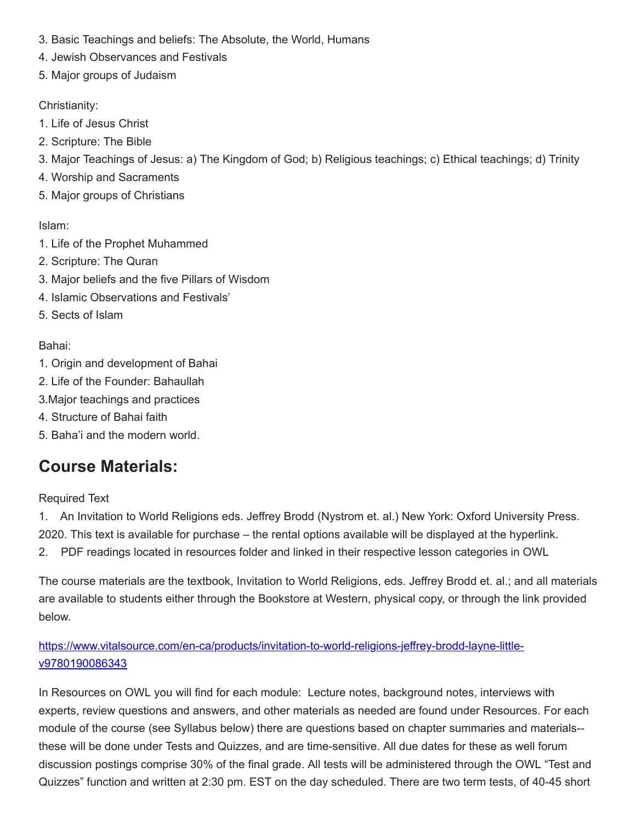- 3. Basic Teachings and beliefs: The Absolute, the World, Humans
- 4. Jewish Observances and Festivals
- 5. Major groups of Judaism

#### Christianity:

- 1. Life of Jesus Christ
- 2. Scripture: The Bible
- 3. Major Teachings of Jesus: a) The Kingdom of God; b) Religious teachings; c) Ethical teachings; d) Trinity
- 4. Worship and Sacraments
- 5. Major groups of Christians

### Islam:

- 1. Life of the Prophet Muhammed
- 2. Scripture: The Quran
- 3. Major beliefs and the five Pillars of Wisdom
- 4. Islamic Observations and Festivals'
- 5. Sects of Islam

### Bahai:

- 1. Origin and development of Bahai
- 2. Life of the Founder: Bahaullah
- 3.Major teachings and practices
- 4. Structure of Bahai faith
- 5. Baha'i and the modern world.

# **Course Materials:**

### Required Text

1. An Invitation to World Religions eds. Jeffrey Brodd (Nystrom et. al.) New York: Oxford University Press. 2020. This text is available for purchase – the rental options available will be displayed at the hyperlink. 2. PDF readings located in resources folder and linked in their respective lesson categories in OWL

The course materials are the textbook, Invitation to World Religions, eds. Jeffrey Brodd et. al.; and all materials are available to students either through the Bookstore at Western, physical copy, or through the link provided below.

### [https://www.vitalsource.com/en-ca/products/invitation-to-world-religions-jeffrey-brodd-layne-little](https://www.vitalsource.com/en-ca/products/invitation-to-world-religions-jeffrey-brodd-layne-little-v9780190086343)v9780190086343

In Resources on OWL you will find for each module: Lecture notes, background notes, interviews with experts, review questions and answers, and other materials as needed are found under Resources. For each module of the course (see Syllabus below) there are questions based on chapter summaries and materials- these will be done under Tests and Quizzes, and are time-sensitive. All due dates for these as well forum discussion postings comprise 30% of the final grade. All tests will be administered through the OWL "Test and Quizzes" function and written at 2:30 pm. EST on the day scheduled. There are two term tests, of 40-45 short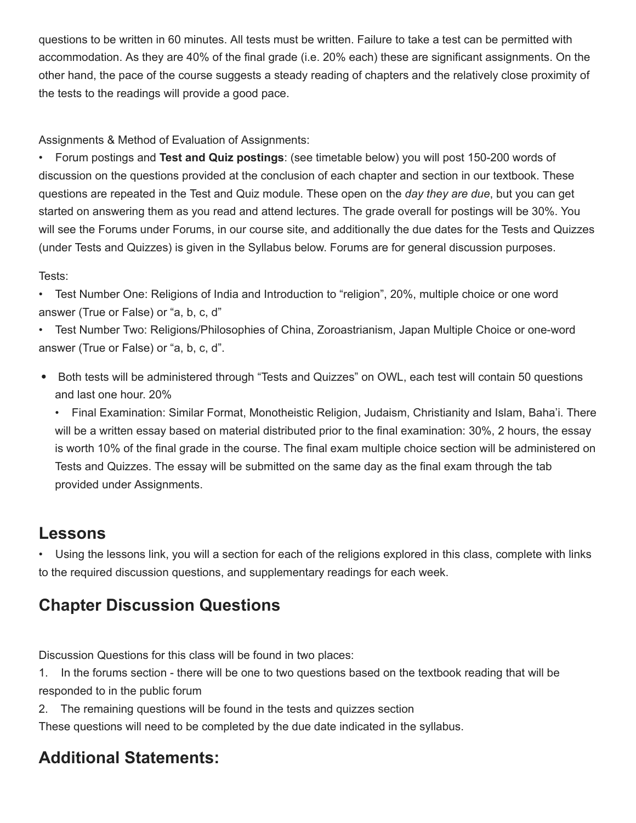questions to be written in 60 minutes. All tests must be written. Failure to take a test can be permitted with accommodation. As they are 40% of the final grade (i.e. 20% each) these are significant assignments. On the other hand, the pace of the course suggests a steady reading of chapters and the relatively close proximity of the tests to the readings will provide a good pace.

Assignments & Method of Evaluation of Assignments:

• Forum postings and **Test and Quiz postings**: (see timetable below) you will post 150-200 words of discussion on the questions provided at the conclusion of each chapter and section in our textbook. These questions are repeated in the Test and Quiz module. These open on the *day they are due*, but you can get started on answering them as you read and attend lectures. The grade overall for postings will be 30%. You will see the Forums under Forums, in our course site, and additionally the due dates for the Tests and Quizzes (under Tests and Quizzes) is given in the Syllabus below. Forums are for general discussion purposes.

### Tests:

• Test Number One: Religions of India and Introduction to "religion", 20%, multiple choice or one word answer (True or False) or "a, b, c, d"

• Test Number Two: Religions/Philosophies of China, Zoroastrianism, Japan Multiple Choice or one-word answer (True or False) or "a, b, c, d".

Both tests will be administered through "Tests and Quizzes" on OWL, each test will contain 50 questions and last one hour. 20%

• Final Examination: Similar Format, Monotheistic Religion, Judaism, Christianity and Islam, Baha'i. There will be a written essay based on material distributed prior to the final examination: 30%, 2 hours, the essay is worth 10% of the final grade in the course. The final exam multiple choice section will be administered on Tests and Quizzes. The essay will be submitted on the same day as the final exam through the tab provided under Assignments.

## **Lessons**

• Using the lessons link, you will a section for each of the religions explored in this class, complete with links to the required discussion questions, and supplementary readings for each week.

# **Chapter Discussion Questions**

Discussion Questions for this class will be found in two places:

1. In the forums section - there will be one to two questions based on the textbook reading that will be responded to in the public forum

2. The remaining questions will be found in the tests and quizzes section

These questions will need to be completed by the due date indicated in the syllabus.

# **Additional Statements:**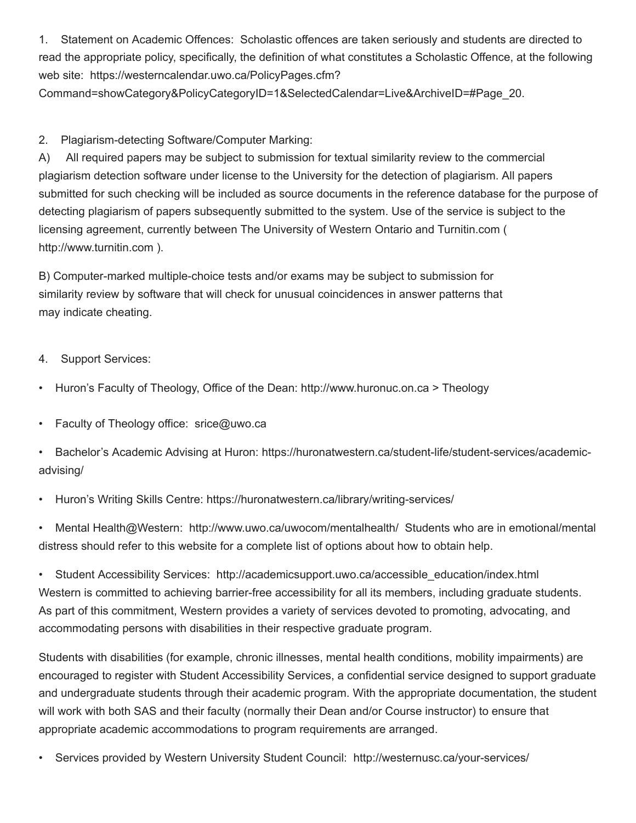1. Statement on Academic Offences: Scholastic offences are taken seriously and students are directed to read the appropriate policy, specifically, the definition of what constitutes a Scholastic Offence, at the following web site: https://westerncalendar.uwo.ca/PolicyPages.cfm?

Command=showCategory&PolicyCategoryID=1&SelectedCalendar=Live&ArchiveID=#Page\_20.

#### 2. Plagiarism-detecting Software/Computer Marking:

A) All required papers may be subject to submission for textual similarity review to the commercial plagiarism detection software under license to the University for the detection of plagiarism. All papers submitted for such checking will be included as source documents in the reference database for the purpose of detecting plagiarism of papers subsequently submitted to the system. Use of the service is subject to the licensing agreement, currently between The University of Western Ontario and Turnitin.com ( http://www.turnitin.com ).

B) Computer-marked multiple-choice tests and/or exams may be subject to submission for similarity review by software that will check for unusual coincidences in answer patterns that may indicate cheating.

#### 4. Support Services:

- Huron's Faculty of Theology, Office of the Dean: http://www.huronuc.on.ca > Theology
- Faculty of Theology office: srice@uwo.ca
- Bachelor's Academic Advising at Huron: https://huronatwestern.ca/student-life/student-services/academicadvising/
- Huron's Writing Skills Centre: https://huronatwestern.ca/library/writing-services/

• Mental Health@Western: http://www.uwo.ca/uwocom/mentalhealth/ Students who are in emotional/mental distress should refer to this website for a complete list of options about how to obtain help.

• Student Accessibility Services: http://academicsupport.uwo.ca/accessible\_education/index.html Western is committed to achieving barrier-free accessibility for all its members, including graduate students. As part of this commitment, Western provides a variety of services devoted to promoting, advocating, and accommodating persons with disabilities in their respective graduate program.

Students with disabilities (for example, chronic illnesses, mental health conditions, mobility impairments) are encouraged to register with Student Accessibility Services, a confidential service designed to support graduate and undergraduate students through their academic program. With the appropriate documentation, the student will work with both SAS and their faculty (normally their Dean and/or Course instructor) to ensure that appropriate academic accommodations to program requirements are arranged.

• Services provided by Western University Student Council: http://westernusc.ca/your-services/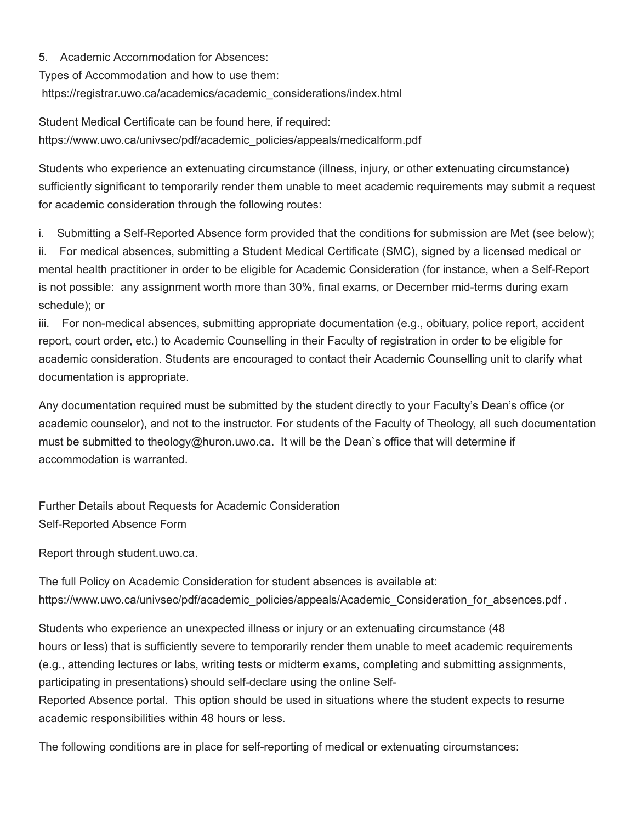5. Academic Accommodation for Absences:

Types of Accommodation and how to use them:

https://registrar.uwo.ca/academics/academic\_considerations/index.html

Student Medical Certificate can be found here, if required: https://www.uwo.ca/univsec/pdf/academic\_policies/appeals/medicalform.pdf

Students who experience an extenuating circumstance (illness, injury, or other extenuating circumstance) sufficiently significant to temporarily render them unable to meet academic requirements may submit a request for academic consideration through the following routes:

i. Submitting a Self-Reported Absence form provided that the conditions for submission are Met (see below);

ii. For medical absences, submitting a Student Medical Certificate (SMC), signed by a licensed medical or mental health practitioner in order to be eligible for Academic Consideration (for instance, when a Self-Report is not possible: any assignment worth more than 30%, final exams, or December mid-terms during exam schedule); or

iii. For non-medical absences, submitting appropriate documentation (e.g., obituary, police report, accident report, court order, etc.) to Academic Counselling in their Faculty of registration in order to be eligible for academic consideration. Students are encouraged to contact their Academic Counselling unit to clarify what documentation is appropriate.

Any documentation required must be submitted by the student directly to your Faculty's Dean's office (or academic counselor), and not to the instructor. For students of the Faculty of Theology, all such documentation must be submitted to theology@huron.uwo.ca. It will be the Dean`s office that will determine if accommodation is warranted.

Further Details about Requests for Academic Consideration Self-Reported Absence Form

Report through student.uwo.ca.

The full Policy on Academic Consideration for student absences is available at: https://www.uwo.ca/univsec/pdf/academic\_policies/appeals/Academic\_Consideration\_for\_absences.pdf .

Students who experience an unexpected illness or injury or an extenuating circumstance (48 hours or less) that is sufficiently severe to temporarily render them unable to meet academic requirements (e.g., attending lectures or labs, writing tests or midterm exams, completing and submitting assignments, participating in presentations) should self-declare using the online Self-

Reported Absence portal. This option should be used in situations where the student expects to resume academic responsibilities within 48 hours or less.

The following conditions are in place for self-reporting of medical or extenuating circumstances: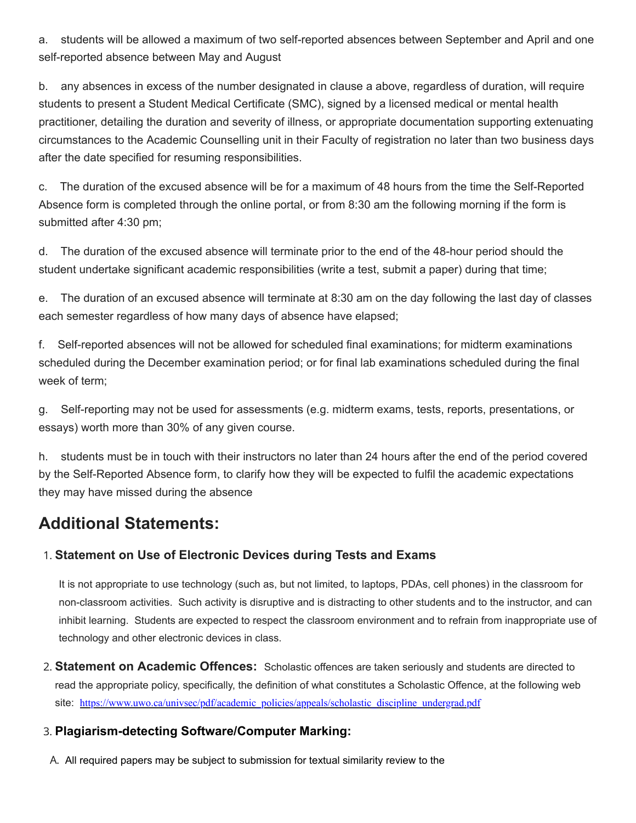a. students will be allowed a maximum of two self-reported absences between September and April and one self-reported absence between May and August

b. any absences in excess of the number designated in clause a above, regardless of duration, will require students to present a Student Medical Certificate (SMC), signed by a licensed medical or mental health practitioner, detailing the duration and severity of illness, or appropriate documentation supporting extenuating circumstances to the Academic Counselling unit in their Faculty of registration no later than two business days after the date specified for resuming responsibilities.

c. The duration of the excused absence will be for a maximum of 48 hours from the time the Self-Reported Absence form is completed through the online portal, or from 8:30 am the following morning if the form is submitted after 4:30 pm;

d. The duration of the excused absence will terminate prior to the end of the 48-hour period should the student undertake significant academic responsibilities (write a test, submit a paper) during that time;

e. The duration of an excused absence will terminate at 8:30 am on the day following the last day of classes each semester regardless of how many days of absence have elapsed;

f. Self-reported absences will not be allowed for scheduled final examinations; for midterm examinations scheduled during the December examination period; or for final lab examinations scheduled during the final week of term;

g. Self-reporting may not be used for assessments (e.g. midterm exams, tests, reports, presentations, or essays) worth more than 30% of any given course.

h. students must be in touch with their instructors no later than 24 hours after the end of the period covered by the Self-Reported Absence form, to clarify how they will be expected to fulfil the academic expectations they may have missed during the absence

## **Additional Statements:**

### 1. **Statement on Use of Electronic Devices during Tests and Exams**

It is not appropriate to use technology (such as, but not limited, to laptops, PDAs, cell phones) in the classroom for non-classroom activities. Such activity is disruptive and is distracting to other students and to the instructor, and can inhibit learning. Students are expected to respect the classroom environment and to refrain from inappropriate use of technology and other electronic devices in class.

2. **Statement on Academic Offences:** Scholastic offences are taken seriously and students are directed to read the appropriate policy, specifically, the definition of what constitutes a Scholastic Offence, at the following web site: https://www.uwo.ca/univsec/pdf/academic\_policies/appeals/scholastic\_discipline\_undergrad.pdf

### 3. **Plagiarism-detecting Software/Computer Marking:**

A. All required papers may be subject to submission for textual similarity review to the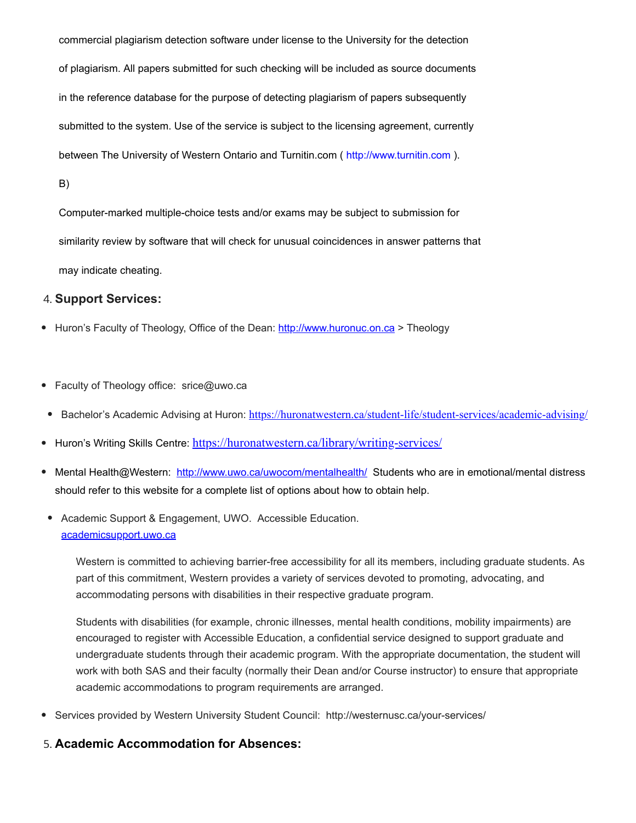commercial plagiarism detection software under license to the University for the detection of plagiarism. All papers submitted for such checking will be included as source documents in the reference database for the purpose of detecting plagiarism of papers subsequently submitted to the system. Use of the service is subject to the licensing agreement, currently between The University of Western Ontario and Turnitin.com ( http://www.turnitin.com ).

B)

Computer-marked multiple-choice tests and/or exams may be subject to submission for similarity review by software that will check for unusual coincidences in answer patterns that may indicate cheating.

#### 4. **Support Services:**

- Huron's Faculty of Theology, Office of the Dean: [http://www.huronuc.on.ca](http://www.huronuc.on.ca/) > Theology
- Faculty of Theology office: srice@uwo.ca
- Bachelor's Academic Advising at Huron: <https://huronatwestern.ca/student-life/student-services/academic-advising/>
- Huron's Writing Skills Centre: <https://huronatwestern.ca/library/writing-services/>
- Mental Health@Western: <http://www.uwo.ca/uwocom/mentalhealth/> Students who are in emotional/mental distress should refer to this website for a complete list of options about how to obtain help.
- Academic Support & Engagement, UWO. Accessible Education. [academicsupport.uwo.ca](https://owl.uwo.ca/portal/tool/Downloads/academicsupport.uwo.ca)

Western is committed to achieving barrier-free accessibility for all its members, including graduate students. As part of this commitment, Western provides a variety of services devoted to promoting, advocating, and accommodating persons with disabilities in their respective graduate program.

Students with disabilities (for example, chronic illnesses, mental health conditions, mobility impairments) are encouraged to register with Accessible Education, a confidential service designed to support graduate and undergraduate students through their academic program. With the appropriate documentation, the student will work with both SAS and their faculty (normally their Dean and/or Course instructor) to ensure that appropriate academic accommodations to program requirements are arranged.

Services provided by Western University Student Council: http://westernusc.ca/your-services/

#### 5. **Academic Accommodation for Absences:**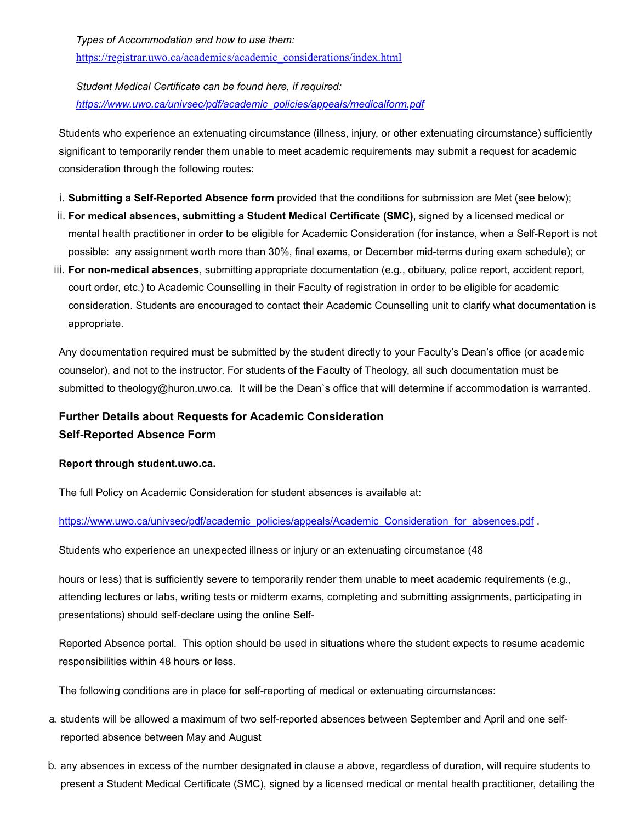*Types of Accommodation and how to use them:*

[https://registrar.uwo.ca/academics/academic\\_considerations/index.html](https://registrar.uwo.ca/academics/academic_considerations/index.html)

*Student Medical Certificate can be found here, if required: [https://www.uwo.ca/univsec/pdf/academic\\_policies/appeals/medicalform.pdf](https://www.uwo.ca/univsec/pdf/academic_policies/appeals/medicalform.pdf)*

Students who experience an extenuating circumstance (illness, injury, or other extenuating circumstance) sufficiently significant to temporarily render them unable to meet academic requirements may submit a request for academic consideration through the following routes:

- i. **Submitting a Self-Reported Absence form** provided that the conditions for submission are Met (see below);
- ii. **For medical absences, submitting a Student Medical Certificate (SMC)**, signed by a licensed medical or mental health practitioner in order to be eligible for Academic Consideration (for instance, when a Self-Report is not possible: any assignment worth more than 30%, final exams, or December mid-terms during exam schedule); or
- iii. **For non-medical absences**, submitting appropriate documentation (e.g., obituary, police report, accident report, court order, etc.) to Academic Counselling in their Faculty of registration in order to be eligible for academic consideration. Students are encouraged to contact their Academic Counselling unit to clarify what documentation is appropriate.

Any documentation required must be submitted by the student directly to your Faculty's Dean's office (or academic counselor), and not to the instructor. For students of the Faculty of Theology, all such documentation must be submitted to theology@huron.uwo.ca. It will be the Dean`s office that will determine if accommodation is warranted.

### **Further Details about Requests for Academic Consideration Self-Reported Absence Form**

#### **Report through student.uwo.ca.**

The full Policy on Academic Consideration for student absences is available at:

#### [https://www.uwo.ca/univsec/pdf/academic\\_policies/appeals/Academic\\_Consideration\\_for\\_absences.pdf](https://www.uwo.ca/univsec/pdf/academic_policies/appeals/Academic_Consideration_for_absences.pdf) .

Students who experience an unexpected illness or injury or an extenuating circumstance (48

hours or less) that is sufficiently severe to temporarily render them unable to meet academic requirements (e.g., attending lectures or labs, writing tests or midterm exams, completing and submitting assignments, participating in presentations) should self-declare using the online Self-

Reported Absence portal. This option should be used in situations where the student expects to resume academic responsibilities within 48 hours or less.

The following conditions are in place for self-reporting of medical or extenuating circumstances:

- a. students will be allowed a maximum of two self-reported absences between September and April and one selfreported absence between May and August
- b. any absences in excess of the number designated in clause a above, regardless of duration, will require students to present a Student Medical Certificate (SMC), signed by a licensed medical or mental health practitioner, detailing the